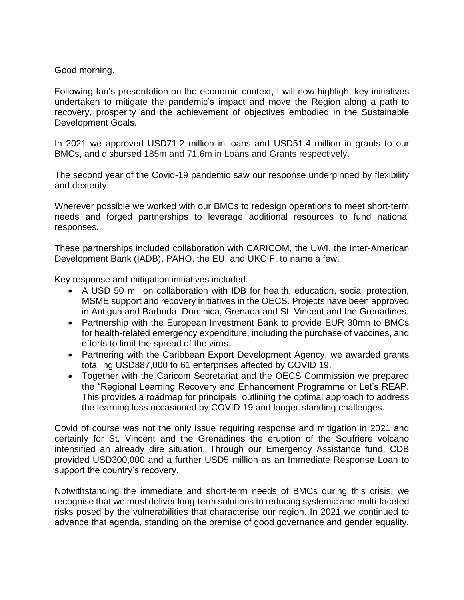## Good morning.

Following Ian's presentation on the economic context, I will now highlight key initiatives undertaken to mitigate the pandemic's impact and move the Region along a path to recovery, prosperity and the achievement of objectives embodied in the Sustainable Development Goals.

In 2021 we approved USD71.2 million in loans and USD51.4 million in grants to our BMCs, and disbursed 185m and 71.6m in Loans and Grants respectively.

The second year of the Covid-19 pandemic saw our response underpinned by flexibility and dexterity.

Wherever possible we worked with our BMCs to redesign operations to meet short-term needs and forged partnerships to leverage additional resources to fund national responses.

These partnerships included collaboration with CARICOM, the UWI, the Inter-American Development Bank (IADB), PAHO, the EU, and UKCIF, to name a few.

Key response and mitigation initiatives included:

- A USD 50 million collaboration with IDB for health, education, social protection, MSME support and recovery initiatives in the OECS. Projects have been approved in Antigua and Barbuda, Dominica, Grenada and St. Vincent and the Grenadines.
- Partnership with the European Investment Bank to provide EUR 30mn to BMCs for health-related emergency expenditure, including the purchase of vaccines, and efforts to limit the spread of the virus.
- Partnering with the Caribbean Export Development Agency, we awarded grants totalling USD887,000 to 61 enterprises affected by COVID 19.
- Together with the Caricom Secretariat and the OECS Commission we prepared the "Regional Learning Recovery and Enhancement Programme or Let's REAP. This provides a roadmap for principals, outlining the optimal approach to address the learning loss occasioned by COVID-19 and longer-standing challenges.

Covid of course was not the only issue requiring response and mitigation in 2021 and certainly for St. Vincent and the Grenadines the eruption of the Soufriere volcano intensified an already dire situation. Through our Emergency Assistance fund, CDB provided USD300,000 and a further USD5 million as an Immediate Response Loan to support the country's recovery.

Notwithstanding the immediate and short-term needs of BMCs during this crisis, we recognise that we must deliver long-term solutions to reducing systemic and multi-faceted risks posed by the vulnerabilities that characterise our region. In 2021 we continued to advance that agenda, standing on the premise of good governance and gender equality.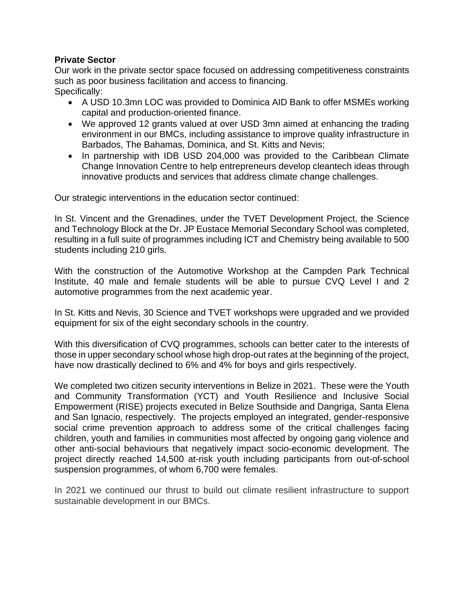## **Private Sector**

Our work in the private sector space focused on addressing competitiveness constraints such as poor business facilitation and access to financing. Specifically:

- A USD 10.3mn LOC was provided to Dominica AID Bank to offer MSMEs working capital and production-oriented finance.
- We approved 12 grants valued at over USD 3mn aimed at enhancing the trading environment in our BMCs, including assistance to improve quality infrastructure in Barbados, The Bahamas, Dominica, and St. Kitts and Nevis;
- In partnership with IDB USD 204,000 was provided to the Caribbean Climate Change Innovation Centre to help entrepreneurs develop cleantech ideas through innovative products and services that address climate change challenges.

Our strategic interventions in the education sector continued:

In St. Vincent and the Grenadines, under the TVET Development Project, the Science and Technology Block at the Dr. JP Eustace Memorial Secondary School was completed, resulting in a full suite of programmes including ICT and Chemistry being available to 500 students including 210 girls.

With the construction of the Automotive Workshop at the Campden Park Technical Institute, 40 male and female students will be able to pursue CVQ Level I and 2 automotive programmes from the next academic year.

In St. Kitts and Nevis, 30 Science and TVET workshops were upgraded and we provided equipment for six of the eight secondary schools in the country.

With this diversification of CVQ programmes, schools can better cater to the interests of those in upper secondary school whose high drop-out rates at the beginning of the project, have now drastically declined to 6% and 4% for boys and girls respectively.

We completed two citizen security interventions in Belize in 2021. These were the Youth and Community Transformation (YCT) and Youth Resilience and Inclusive Social Empowerment (RISE) projects executed in Belize Southside and Dangriga, Santa Elena and San Ignacio, respectively. The projects employed an integrated, gender-responsive social crime prevention approach to address some of the critical challenges facing children, youth and families in communities most affected by ongoing gang violence and other anti-social behaviours that negatively impact socio-economic development. The project directly reached 14,500 at-risk youth including participants from out-of-school suspension programmes, of whom 6,700 were females.

In 2021 we continued our thrust to build out climate resilient infrastructure to support sustainable development in our BMCs.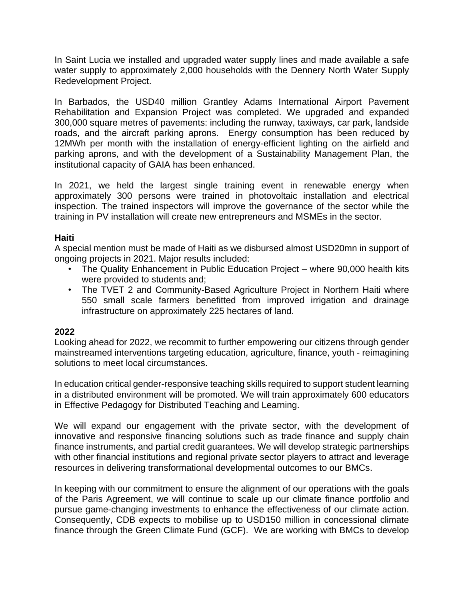In Saint Lucia we installed and upgraded water supply lines and made available a safe water supply to approximately 2,000 households with the Dennery North Water Supply Redevelopment Project.

In Barbados, the USD40 million Grantley Adams International Airport Pavement Rehabilitation and Expansion Project was completed. We upgraded and expanded 300,000 square metres of pavements: including the runway, taxiways, car park, landside roads, and the aircraft parking aprons. Energy consumption has been reduced by 12MWh per month with the installation of energy-efficient lighting on the airfield and parking aprons, and with the development of a Sustainability Management Plan, the institutional capacity of GAIA has been enhanced.

In 2021, we held the largest single training event in renewable energy when approximately 300 persons were trained in photovoltaic installation and electrical inspection. The trained inspectors will improve the governance of the sector while the training in PV installation will create new entrepreneurs and MSMEs in the sector.

## **Haiti**

A special mention must be made of Haiti as we disbursed almost USD20mn in support of ongoing projects in 2021. Major results included:

- The Quality Enhancement in Public Education Project where 90,000 health kits were provided to students and;
- The TVET 2 and Community-Based Agriculture Project in Northern Haiti where 550 small scale farmers benefitted from improved irrigation and drainage infrastructure on approximately 225 hectares of land.

## **2022**

Looking ahead for 2022, we recommit to further empowering our citizens through gender mainstreamed interventions targeting education, agriculture, finance, youth - reimagining solutions to meet local circumstances.

In education critical gender-responsive teaching skills required to support student learning in a distributed environment will be promoted. We will train approximately 600 educators in Effective Pedagogy for Distributed Teaching and Learning.

We will expand our engagement with the private sector, with the development of innovative and responsive financing solutions such as trade finance and supply chain finance instruments, and partial credit guarantees. We will develop strategic partnerships with other financial institutions and regional private sector players to attract and leverage resources in delivering transformational developmental outcomes to our BMCs.

In keeping with our commitment to ensure the alignment of our operations with the goals of the Paris Agreement, we will continue to scale up our climate finance portfolio and pursue game-changing investments to enhance the effectiveness of our climate action. Consequently, CDB expects to mobilise up to USD150 million in concessional climate finance through the Green Climate Fund (GCF). We are working with BMCs to develop